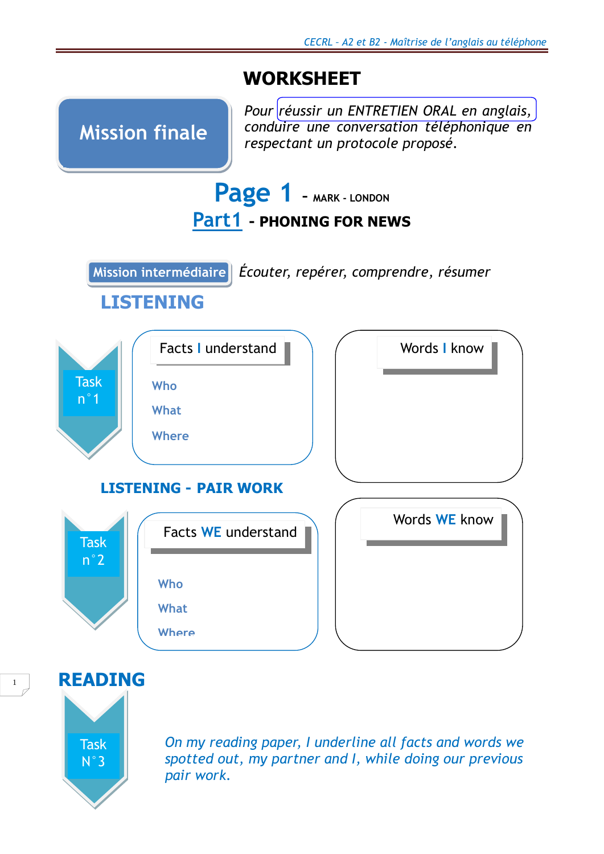# **WORKSHEET**



**READING** 



 *On my reading paper, I underline all facts and words we spotted out, my partner and I, while doing our previous pair work.*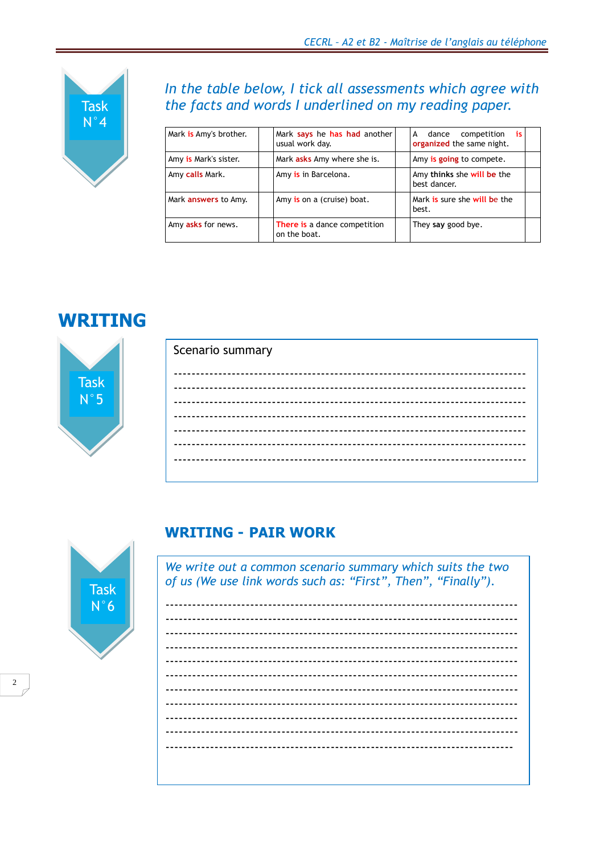

### In the table below, I tick all assessments which agree with the facts and words I underlined on my reading paper.

| Mark is Amy's brother.      | Mark says he has had another<br>usual work day. | dance competition<br>-is<br>A<br>organized the same night. |  |
|-----------------------------|-------------------------------------------------|------------------------------------------------------------|--|
| Amy is Mark's sister.       | Mark asks Amy where she is.                     | Amy is going to compete.                                   |  |
| Amy calls Mark.             | Amy is in Barcelona.                            | Amy thinks she will be the<br>best dancer.                 |  |
| Mark <b>answers</b> to Amy. | Amy is on a (cruise) boat.                      | Mark is sure she will be the<br>best.                      |  |
| Amy asks for news.          | There is a dance competition<br>on the boat.    | They say good bye.                                         |  |

## **WRITING**



| Scenario summary |
|------------------|
|                  |
|                  |
|                  |
|                  |
|                  |
|                  |
|                  |
|                  |
|                  |
|                  |
|                  |
|                  |
|                  |
|                  |



#### **WRITING - PAIR WORK**

We write out a common scenario summary which suits the two of us (We use link words such as: "First", Then", "Finally").